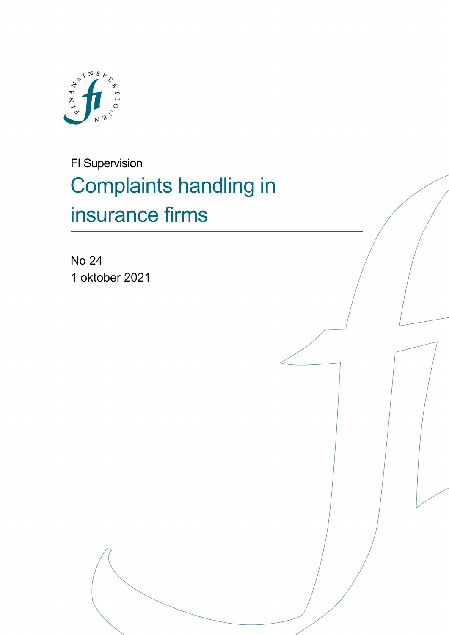

FI Supervision Complaints handling in insurance firms

No 24 1 oktober 2021